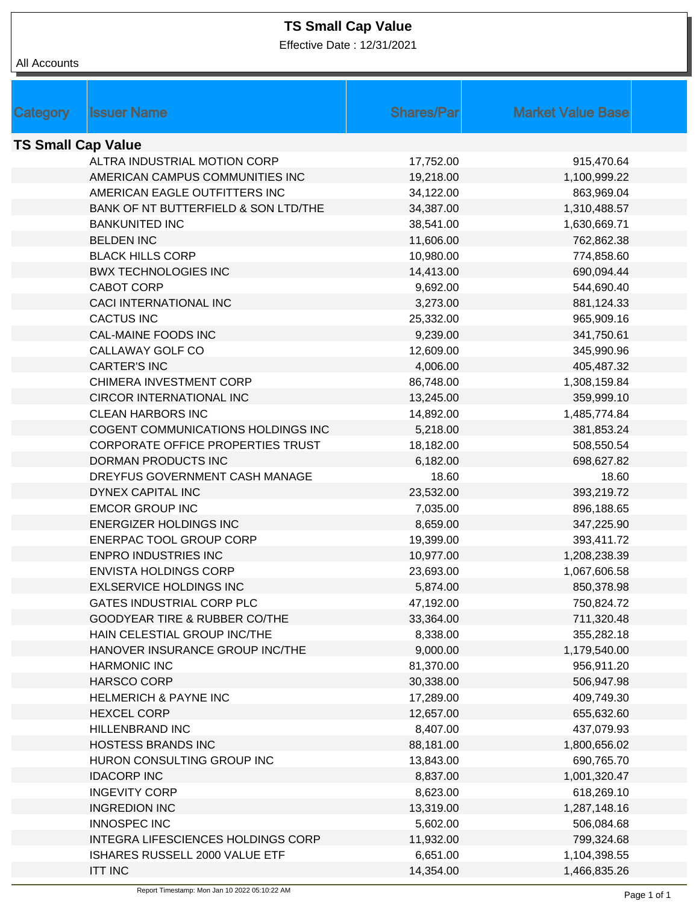## **TS Small Cap Value**

Effective Date : 12/31/2021

| All Accounts              |                                                                      |                       |                              |  |  |
|---------------------------|----------------------------------------------------------------------|-----------------------|------------------------------|--|--|
|                           |                                                                      |                       |                              |  |  |
|                           |                                                                      |                       |                              |  |  |
| Category                  | <b>Issuer Name</b>                                                   | <b>Shares/Par</b>     | <b>Market Value Base</b>     |  |  |
| <b>TS Small Cap Value</b> |                                                                      |                       |                              |  |  |
|                           | ALTRA INDUSTRIAL MOTION CORP                                         | 17,752.00             | 915,470.64                   |  |  |
|                           | AMERICAN CAMPUS COMMUNITIES INC                                      | 19,218.00             | 1,100,999.22                 |  |  |
|                           | AMERICAN EAGLE OUTFITTERS INC                                        | 34,122.00             | 863,969.04                   |  |  |
|                           | BANK OF NT BUTTERFIELD & SON LTD/THE                                 | 34,387.00             | 1,310,488.57                 |  |  |
|                           | <b>BANKUNITED INC</b>                                                | 38,541.00             | 1,630,669.71                 |  |  |
|                           | <b>BELDEN INC</b>                                                    | 11,606.00             | 762,862.38                   |  |  |
|                           | <b>BLACK HILLS CORP</b>                                              | 10,980.00             | 774,858.60                   |  |  |
|                           | <b>BWX TECHNOLOGIES INC</b>                                          | 14,413.00             | 690,094.44                   |  |  |
|                           | <b>CABOT CORP</b>                                                    | 9,692.00              | 544,690.40                   |  |  |
|                           | <b>CACI INTERNATIONAL INC</b>                                        | 3,273.00              | 881,124.33                   |  |  |
|                           | <b>CACTUS INC</b>                                                    | 25,332.00             | 965,909.16                   |  |  |
|                           | <b>CAL-MAINE FOODS INC</b>                                           | 9,239.00              | 341,750.61                   |  |  |
|                           | CALLAWAY GOLF CO                                                     | 12,609.00             | 345,990.96                   |  |  |
|                           | <b>CARTER'S INC</b>                                                  | 4,006.00              | 405,487.32                   |  |  |
|                           | CHIMERA INVESTMENT CORP                                              | 86,748.00             | 1,308,159.84                 |  |  |
|                           | CIRCOR INTERNATIONAL INC                                             | 13,245.00             | 359,999.10                   |  |  |
|                           | <b>CLEAN HARBORS INC</b>                                             | 14,892.00             | 1,485,774.84                 |  |  |
|                           | COGENT COMMUNICATIONS HOLDINGS INC                                   | 5,218.00              | 381,853.24                   |  |  |
|                           | CORPORATE OFFICE PROPERTIES TRUST                                    | 18,182.00             | 508,550.54                   |  |  |
|                           | DORMAN PRODUCTS INC                                                  | 6,182.00              | 698,627.82                   |  |  |
|                           | DREYFUS GOVERNMENT CASH MANAGE                                       | 18.60                 | 18.60                        |  |  |
|                           | DYNEX CAPITAL INC                                                    | 23,532.00             | 393,219.72                   |  |  |
|                           | <b>EMCOR GROUP INC</b>                                               | 7,035.00              | 896,188.65                   |  |  |
|                           | <b>ENERGIZER HOLDINGS INC</b>                                        | 8,659.00              | 347,225.90                   |  |  |
|                           | ENERPAC TOOL GROUP CORP                                              | 19,399.00             | 393,411.72                   |  |  |
|                           | <b>ENPRO INDUSTRIES INC</b>                                          | 10,977.00             | 1,208,238.39                 |  |  |
|                           | <b>ENVISTA HOLDINGS CORP</b>                                         | 23,693.00             | 1,067,606.58                 |  |  |
|                           | <b>EXLSERVICE HOLDINGS INC</b>                                       | 5,874.00              | 850,378.98                   |  |  |
|                           | GATES INDUSTRIAL CORP PLC                                            | 47,192.00             | 750,824.72                   |  |  |
|                           | <b>GOODYEAR TIRE &amp; RUBBER CO/THE</b>                             | 33,364.00             | 711,320.48                   |  |  |
|                           | HAIN CELESTIAL GROUP INC/THE                                         | 8,338.00              | 355,282.18                   |  |  |
|                           | HANOVER INSURANCE GROUP INC/THE                                      | 9,000.00              | 1,179,540.00                 |  |  |
|                           | <b>HARMONIC INC</b>                                                  | 81,370.00             | 956,911.20                   |  |  |
|                           | HARSCO CORP                                                          | 30,338.00             | 506,947.98                   |  |  |
|                           | <b>HELMERICH &amp; PAYNE INC</b>                                     | 17,289.00             | 409,749.30                   |  |  |
|                           | <b>HEXCEL CORP</b>                                                   | 12,657.00             | 655,632.60                   |  |  |
|                           | HILLENBRAND INC                                                      | 8,407.00              | 437,079.93                   |  |  |
|                           | <b>HOSTESS BRANDS INC</b>                                            | 88,181.00             | 1,800,656.02                 |  |  |
|                           | HURON CONSULTING GROUP INC                                           | 13,843.00             | 690,765.70                   |  |  |
|                           | <b>IDACORP INC</b>                                                   | 8,837.00              | 1,001,320.47                 |  |  |
|                           | <b>INGEVITY CORP</b>                                                 | 8,623.00              | 618,269.10                   |  |  |
|                           | <b>INGREDION INC</b>                                                 | 13,319.00             | 1,287,148.16                 |  |  |
|                           | <b>INNOSPEC INC</b>                                                  | 5,602.00              | 506,084.68                   |  |  |
|                           | INTEGRA LIFESCIENCES HOLDINGS CORP<br>ISHARES RUSSELL 2000 VALUE ETF | 11,932.00             | 799,324.68                   |  |  |
|                           | <b>ITT INC</b>                                                       | 6,651.00<br>14,354.00 | 1,104,398.55<br>1,466,835.26 |  |  |
|                           |                                                                      |                       |                              |  |  |